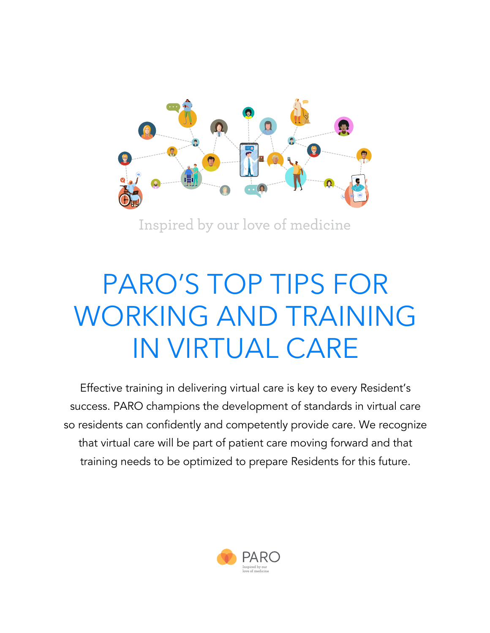

Inspired by our love of medicine

# PARO'S TOP TIPS FOR WORKING AND TRAINING IN VIRTUAL CARE

Effective training in delivering virtual care is key to every Resident's success. PARO champions the development of standards in virtual care so residents can confidently and competently provide care. We recognize that virtual care will be part of patient care moving forward and that training needs to be optimized to prepare Residents for this future.

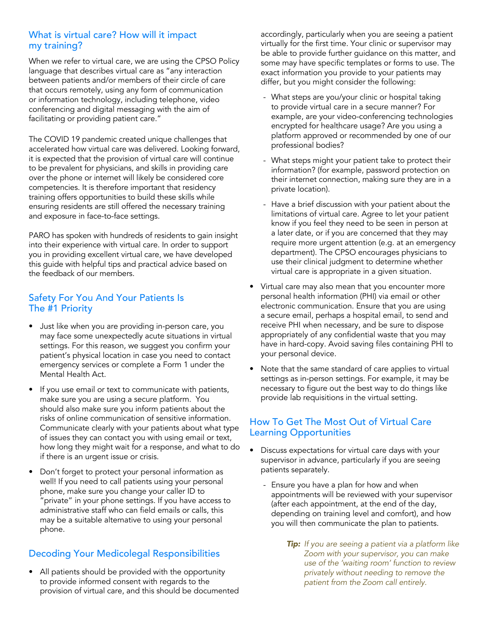#### What is virtual care? How will it impact my training?

When we refer to virtual care, we are using the CPSO Policy language that describes virtual care as "any interaction between patients and/or members of their circle of care that occurs remotely, using any form of communication or information technology, including telephone, video conferencing and digital messaging with the aim of facilitating or providing patient care."

The COVID 19 pandemic created unique challenges that accelerated how virtual care was delivered. Looking forward, it is expected that the provision of virtual care will continue to be prevalent for physicians, and skills in providing care over the phone or internet will likely be considered core competencies. It is therefore important that residency training offers opportunities to build these skills while ensuring residents are still offered the necessary training and exposure in face-to-face settings.

PARO has spoken with hundreds of residents to gain insight into their experience with virtual care. In order to support you in providing excellent virtual care, we have developed this guide with helpful tips and practical advice based on the feedback of our members.

## Safety For You And Your Patients Is The #1 Priority

- Just like when you are providing in-person care, you may face some unexpectedly acute situations in virtual settings. For this reason, we suggest you confirm your patient's physical location in case you need to contact emergency services or complete a Form 1 under the Mental Health Act.
- If you use email or text to communicate with patients, make sure you are using a secure platform. You should also make sure you inform patients about the risks of online communication of sensitive information. Communicate clearly with your patients about what type of issues they can contact you with using email or text, how long they might wait for a response, and what to do if there is an urgent issue or crisis.
- Don't forget to protect your personal information as well! If you need to call patients using your personal phone, make sure you change your caller ID to "private" in your phone settings. If you have access to administrative staff who can field emails or calls, this may be a suitable alternative to using your personal phone.

# Decoding Your Medicolegal Responsibilities

• All patients should be provided with the opportunity to provide informed consent with regards to the provision of virtual care, and this should be documented accordingly, particularly when you are seeing a patient virtually for the first time. Your clinic or supervisor may be able to provide further guidance on this matter, and some may have specific templates or forms to use. The exact information you provide to your patients may differ, but you might consider the following:

- What steps are you/your clinic or hospital taking to provide virtual care in a secure manner? For example, are your video-conferencing technologies encrypted for healthcare usage? Are you using a platform approved or recommended by one of our professional bodies?
- What steps might your patient take to protect their information? (for example, password protection on their internet connection, making sure they are in a private location).
- Have a brief discussion with your patient about the limitations of virtual care. Agree to let your patient know if you feel they need to be seen in person at a later date, or if you are concerned that they may require more urgent attention (e.g. at an emergency department). The CPSO encourages physicians to use their clinical judgment to determine whether virtual care is appropriate in a given situation.
- Virtual care may also mean that you encounter more personal health information (PHI) via email or other electronic communication. Ensure that you are using a secure email, perhaps a hospital email, to send and receive PHI when necessary, and be sure to dispose appropriately of any confidential waste that you may have in hard-copy. Avoid saving files containing PHI to your personal device.
- Note that the same standard of care applies to virtual settings as in-person settings. For example, it may be necessary to figure out the best way to do things like provide lab requisitions in the virtual setting.

## How To Get The Most Out of Virtual Care Learning Opportunities

- Discuss expectations for virtual care days with your supervisor in advance, particularly if you are seeing patients separately.
	- Ensure you have a plan for how and when appointments will be reviewed with your supervisor (after each appointment, at the end of the day, depending on training level and comfort), and how you will then communicate the plan to patients.
		- *Tip: If you are seeing a patient via a platform like Zoom with your supervisor, you can make use of the 'waiting room' function to review privately without needing to remove the patient from the Zoom call entirely.*